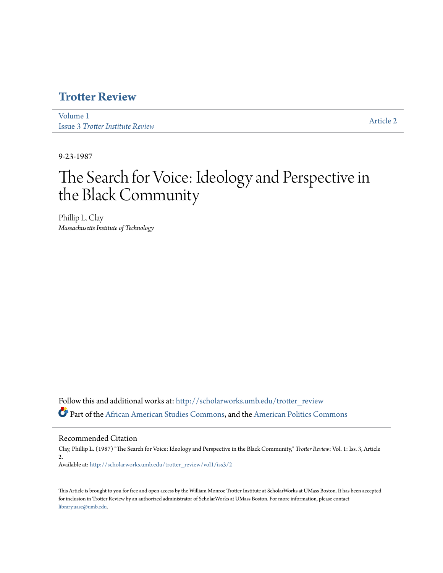## **[Trotter Review](http://scholarworks.umb.edu/trotter_review?utm_source=scholarworks.umb.edu%2Ftrotter_review%2Fvol1%2Fiss3%2F2&utm_medium=PDF&utm_campaign=PDFCoverPages)**

[Volume 1](http://scholarworks.umb.edu/trotter_review/vol1?utm_source=scholarworks.umb.edu%2Ftrotter_review%2Fvol1%2Fiss3%2F2&utm_medium=PDF&utm_campaign=PDFCoverPages) Issue 3 *[Trotter Institute Review](http://scholarworks.umb.edu/trotter_review/vol1/iss3?utm_source=scholarworks.umb.edu%2Ftrotter_review%2Fvol1%2Fiss3%2F2&utm_medium=PDF&utm_campaign=PDFCoverPages)*

[Article 2](http://scholarworks.umb.edu/trotter_review/vol1/iss3/2?utm_source=scholarworks.umb.edu%2Ftrotter_review%2Fvol1%2Fiss3%2F2&utm_medium=PDF&utm_campaign=PDFCoverPages)

9-23-1987

# The Search for Voice: Ideology and Perspective in the Black Community

Phillip L. Clay *Massachusetts Institute of Technology*

Follow this and additional works at: [http://scholarworks.umb.edu/trotter\\_review](http://scholarworks.umb.edu/trotter_review?utm_source=scholarworks.umb.edu%2Ftrotter_review%2Fvol1%2Fiss3%2F2&utm_medium=PDF&utm_campaign=PDFCoverPages) Part of the [African American Studies Commons,](http://network.bepress.com/hgg/discipline/567?utm_source=scholarworks.umb.edu%2Ftrotter_review%2Fvol1%2Fiss3%2F2&utm_medium=PDF&utm_campaign=PDFCoverPages) and the [American Politics Commons](http://network.bepress.com/hgg/discipline/387?utm_source=scholarworks.umb.edu%2Ftrotter_review%2Fvol1%2Fiss3%2F2&utm_medium=PDF&utm_campaign=PDFCoverPages)

Recommended Citation

Clay, Phillip L. (1987) "The Search for Voice: Ideology and Perspective in the Black Community," *Trotter Review*: Vol. 1: Iss. 3, Article 2. Available at: [http://scholarworks.umb.edu/trotter\\_review/vol1/iss3/2](http://scholarworks.umb.edu/trotter_review/vol1/iss3/2?utm_source=scholarworks.umb.edu%2Ftrotter_review%2Fvol1%2Fiss3%2F2&utm_medium=PDF&utm_campaign=PDFCoverPages)

This Article is brought to you for free and open access by the William Monroe Trotter Institute at ScholarWorks at UMass Boston. It has been accepted for inclusion in Trotter Review by an authorized administrator of ScholarWorks at UMass Boston. For more information, please contact [library.uasc@umb.edu.](mailto:library.uasc@umb.edu)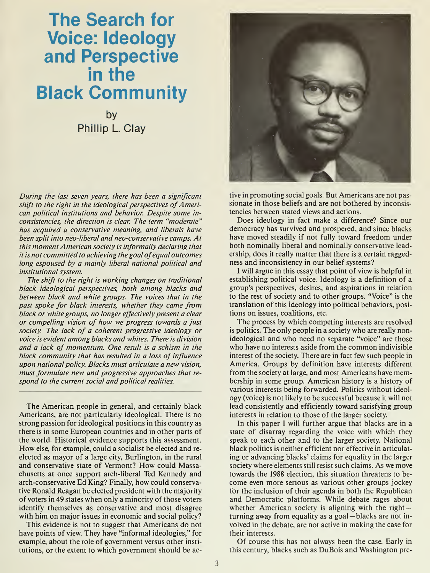# The Search for Voice: Ideology and Perspective in the Black Community

by Phillip L. Clay

During the last seven years, there has been a significant shift to the right in the ideological perspectives of American political institutions and behavior. Despite some inconsistencies, the direction is clear. The term "moderate" has acquired a conservative meaning, and liberals have been split into neo-liberal and neo-conservative camps. At this moment American society is informally declaring that it is not committed to achieving the goal of equal outcomes long espoused by a mainly liberal national political and institutional system.

The shift to the right is working changes on traditional black ideological perspectives, both among blacks and between black and white groups. The voices that in the past spoke for black interests, whether they came from black or white groups, no longer effectively present a clear or compelling vision of how we progress towards a just society. The lack of a coherent progressive ideology or voice is evident among blacks and whites. There is division and a lack of momentum. One result is a schism in the black community that has resulted in a loss of influence upon national policy. Blacks must articulate a new vision, must formulate new and progressive approaches that re spond to the current social and political realities.

The American people in general, and certainly black Americans, are not particularly ideological. There is no strong passion for ideological positions in this country as there is in some European countries and in other parts of the world. Historical evidence supports this assessment. How else, for example, could <sup>a</sup> socialist be elected and re elected as mayor of a large city, Burlington, in the rural and conservative state of Vermont? How could Massachusetts at once support arch-liberal Ted Kennedy and arch-conservative Ed King? Finally, how could conservative Ronald Reagan be elected president with the majority of voters in 49 states when only a minority of those voters identify themselves as conservative and most disagree with him on major issues in economic and social policy?

This evidence is not to suggest that Americans do not have points of view. They have "informal ideologies," for example, about the role of government versus other institutions, or the extent to which government should be ac-



tive in promoting social goals. But Americans are not passionate in those beliefs and are not bothered by inconsistencies between stated views and actions.

Does ideology in fact make a difference? Since our democracy has survived and prospered, and since blacks have moved steadily if not fully toward freedom under both nominally liberal and nominally conservative leadership, does it really matter that there is a certain raggedness and inconsistency in our belief systems?

<sup>I</sup> will argue in this essay that point of view is helpful in establishing political voice. Ideology is a definition of a group's perspectives, desires, and aspirations in relation to the rest of society and to other groups. "Voice" is the translation of this ideology into political behaviors, positions on issues, coalitions, etc.

The process by which competing interests are resolved is politics. The only people in a society who are really nonideological and who need no separate "voice" are those who have no interests aside from the common indivisible interest of the society. There are in fact few such people in America. Groups by definition have interests different from the society at large, and most Americans have membership in some group. American history is a history of various interests being forwarded. Politics without ideology (voice) is not likely to be successful because it will not lead consistently and efficiently toward satisfying group interests in relation to those of the larger society.

In this paper <sup>I</sup> will further argue that blacks are in a state of disarray regarding the voice with which they speak to each other and to the larger society. National black politics is neither efficient nor effective in articulating or advancing blacks' claims for equality in the larger society where elements still resist such claims. As we move towards the 1988 election, this situation threatens to become even more serious as various other groups jockey for the inclusion of their agenda in both the Republican and Democratic platforms. While debate rages about whether American society is aligning with the rightturning away from equality as <sup>a</sup> goal — blacks are not involved in the debate, are not active in making the case for their interests.

Of course this has not always been the case. Early in this century, blacks such as DuBois and Washington pre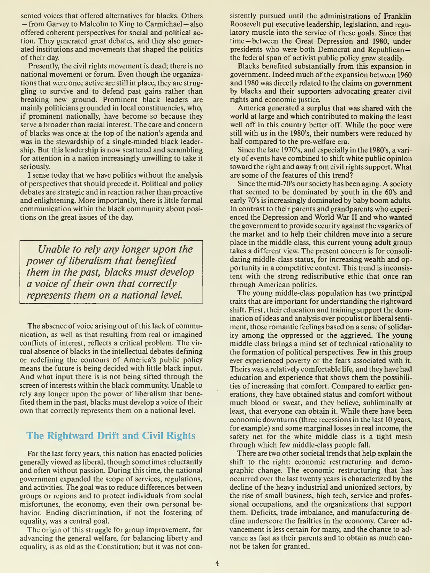sented voices that offered alternatives for blacks. Others — from Garvey to Malcolm to King to Carmichael — also offered coherent perspectives for social and political action. They generated great debates, and they also generated institutions and movements that shaped the politics of their day.

Presently, the civil rights movement is dead; there is no national movement or forum. Even though the organizations that were once active are still in place, they are struggling to survive and to defend past gains rather than breaking new ground. Prominent black leaders are mainly politicians grounded in local constituencies, who, if prominent nationally, have become so because they serve a broader than racial interest. The care and concern of blacks was once at the top of the nation's agenda and was in the stewardship of a single-minded black leadership. But this leadership is now scattered and scrambling for attention in a nation increasingly unwilling to take it seriously.

<sup>I</sup> sense today that we have politics without the analysis of perspectives that should precede it. Political and policy debates are strategic and in reaction rather than proactive and enlightening. More importantly, there is little formal communication within the black community about positions on the great issues of the day.

Unable to rely any longer upon the power of liberalism that benefited them in the past, blacks must develop a voice of their own that correctly represents them on a national level.

The absence of voice arising out of this lack of communication, as well as that resulting from real or imagined conflicts of interest, reflects a critical problem. The virtual absence of blacks in the intellectual debates defining or redefining the contours of America's public policy means the future is being decided with little black input. And what input there is is not being sifted through the screen of interests within the black community. Unable to rely any longer upon the power of liberalism that benefited them in the past, blacks must develop a voice of their own that correctly represents them on a national level.

# The Rightward Drift and Civil Rights

For the last forty years, this nation has enacted policies generally viewed as liberal, though sometimes reluctantly and often without passion. During this time, the national government expanded the scope of services, regulations, and activities. The goal was to reduce differences between groups or regions and to protect individuals from social misfortunes, the economy, even their own personal behavior. Ending discrimination, if not the fostering of equality, was a central goal.

The origin of this struggle for group improvement, for advancing the general welfare, for balancing liberty and equality, is as old as the Constitution; but it was not consistently pursued until the administrations of Franklin Roosevelt put executive leadership, legislation, and regulatory muscle into the service of these goals. Since that time — between the Great Depression and 1980, under presidents who were both Democrat and Republican the federal span of activist public policy grew steadily.

Blacks benefited substantially from this expansion in government. Indeed much of the expansion between 1960 and 1980 was directly related to the claims on government by blacks and their supporters advocating greater civil rights and economic justice.

America generated a surplus that was shared with the world at large and which contributed to making the least well off in this country better off. While the poor were still with us in the 1980's, their numbers were reduced by half compared to the pre-welfare era.

Since the late 1970's, and especially in the 1980's, a variety of events have combined to shift white public opinion toward the right and away from civil rights support. What are some of the features of this trend?

Since the mid-70's our society has been aging. A society that seemed to be dominated by youth in the 60's and early 70's is increasingly dominated by baby boom adults. In contrast to their parents and grandparents who experienced the Depression and World War II and who wanted the government to provide security against the vagaries of the market and to help their children move into a secure place in the middle class, this current young adult group takes a different view. The present concern is for consolidating middle-class status, for increasing wealth and opportunity in a competitive context. This trend is inconsistent with the strong redistributive ethic that once ran through American politics.

The young middle-class population has two principal traits that are important for understanding the rightward shift. First, their education and training support the domination of ideas and analysis over populist or liberal sentiment, those romantic feelings based on a sense of solidarity among the oppressed or the aggrieved. The young middle class brings a mind set of technical rationality to the formation of political perspectives. Few in this group ever experienced poverty or the fears associated with it. Theirs was a relatively comfortable life, and they have had education and experience that shows them the possibilities of increasing that comfort. Compared to earlier generations, they have obtained status and comfort without much blood or sweat, and they believe, subliminally at least, that everyone can obtain it. While there have been economic downturns (three recessions in the last 10 years, for example) and some marginal losses in real income, the safety net for the white middle class is a tight mesh through which few middle-class people fall.

There are two other societal trends that help explain the shift to the right: economic restructuring and demographic change. The economic restructuring that has occurred over the last twenty years is characterized by the decline of the heavy industrial and unionized sectors, by the rise of small business, high tech, service and professional occupations, and the organizations that support them. Deficits, trade imbalance, and manufacturing decline underscore the frailties in the economy. Career advancement is less certain for many, and the chance to advance as fast as their parents and to obtain as much can not be taken for granted.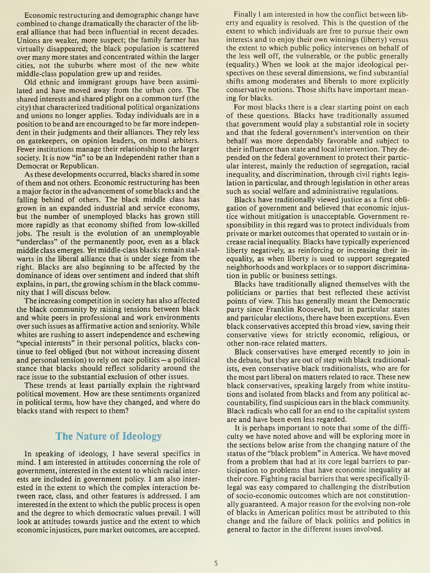Economic restructuring and demographic change have combined to change dramatically the character of the liberal alliance that had been influential in recent decades. Unions are weaker, more suspect; the family farmer has virtually disappeared; the black population is scattered over many more states and concentrated within the larger cities, not the suburbs where most of the new white middle-class population grew up and resides.

Old ethnic and immigrant groups have been assimilated and have moved away from the urban core. The shared interests and shared plight on <sup>a</sup> common turf (the city) that characterized traditional political organizations and unions no longer applies. Today individuals are in a position to be and are encouraged to be far more independent in their judgments and their alliances. They rely less on gatekeepers, on opinion leaders, on moral arbiters. Fewer institutions manage their relationship to the larger society. It is now "in" to be an Independent rather than a Democrat or Republican.

As these developments occurred, blacks shared in some of them and not others. Economic restructuring has been a major factor in the advancement of some blacks and the falling behind of others. The black middle class has grown in an expanded industrial and service economy, but the number of unemployed blacks has grown still more rapidly as that economy shifted from low-skilled jobs. The result is the evolution of an unemployable "underclass" of the permanently poor, even as a black middle class emerges. Yet middle-class blacks remain stalwarts in the liberal alliance that is under siege from the right. Blacks are also beginning to be affected by the dominance of ideas over sentiment and indeed that shift explains, in part, the growing schism in the black community that <sup>I</sup> will discuss below.

The increasing competition in society has also affected the black community by raising tensions between black and white peers in professional and work environments over such issues as affirmative action and seniority. While whites are rushing to assert independence and eschewing "special interests" in their personal politics, blacks continue to feel obliged (but not without increasing dissent and personal tension) to rely on race politics — <sup>a</sup> political stance that blacks should reflect solidarity around the race issue to the substantial exclusion of other issues.

These trends at least partially explain the rightward political movement. How are these sentiments organized in political terms, how have they changed, and where do blacks stand with respect to them?

# The Nature of Ideology

In speaking of ideology, <sup>I</sup> have several specifics in mind. <sup>I</sup>am interested in attitudes concerning the role of government, interested in the extent to which racial interests are included in government policy. <sup>I</sup> am also interested in the extent to which the complex interaction between race, class, and other features is addressed. <sup>I</sup> am interested in the extent to which the public process is open and the degree to which democratic values prevail. <sup>I</sup> will look at attitudes towards justice and the extent to which economic injustices, pure market outcomes, are accepted.

Finally <sup>I</sup> am interested in how the conflict between liberty and equality is resolved. This is the question of the extent to which individuals are free to pursue their own interests and to enjoy their own winnings (liberty) versus the extent to which public policy intervenes on behalf of the less well off, the vulnerable, or the public generally (equality.) When we look at the major ideological perspectives on these several dimensions, we find substantial shifts among moderates and liberals to more explicitly conservative notions. Those shifts have important meaning for blacks.

For most blacks there is a clear starting point on each of these questions. Blacks have traditionally assumed that government would play a substantial role in society and that the federal government's intervention on their behalf was more dependably favorable and subject to their influence than state and local intervention. They depended on the federal government to protect their particular interest, mainly the reduction of segregation, racial inequality, and discrimination, through civil rights legislation in particular, and through legislation in other areas such as social welfare and administrative regulations.

Blacks have traditionally viewed justice as a first obligation of government and believed that economic injustice without mitigation is unacceptable. Government re sponsibility in this regard was to protect individuals from private or market outcomes that operated to sustain or in crease racial inequality. Blacks have typically experienced liberty negatively, as reinforcing or increasing their inequality, as when liberty is used to support segregated neighborhoods and workplaces or to support discrimination in public or business settings.

Blacks have traditionally aligned themselves with the politicians or parties that best reflected these activist points of view. This has generally meant the Democratic party since Franklin Roosevelt, but in particular states and particular elections, there have been exceptions. Even black conservatives accepted this broad view, saving their conservative views for strictly economic, religious, or other non-race related matters.

Black conservatives have emerged recently to join in the debate, but they are out of step with black traditionalists, even conservative black traditionalists, who are for the most part liberal on matters related to race. These new black conservatives, speaking largely from white institutions and isolated from blacks and from any political ac countability, find suspicious ears in the black community. Black radicals who call for an end to the capitalist system are and have been even less regarded.

It is perhaps important to note that some of the difficulty we have noted above and will be exploring more in the sections below arise from the changing nature of the status of the "black problem" in America. We have moved from a problem that had at its core legal barriers to participation to problems that have economic inequality at their core. Fighting racial barriers that were specifically il legal was easy compared to challenging the distribution of socio-economic outcomes which are not constitutionally guaranteed. A major reason for the evolving non-role of blacks in American politics must be attributed to this change and the failure of black politics and politics in general to factor in the different issues involved.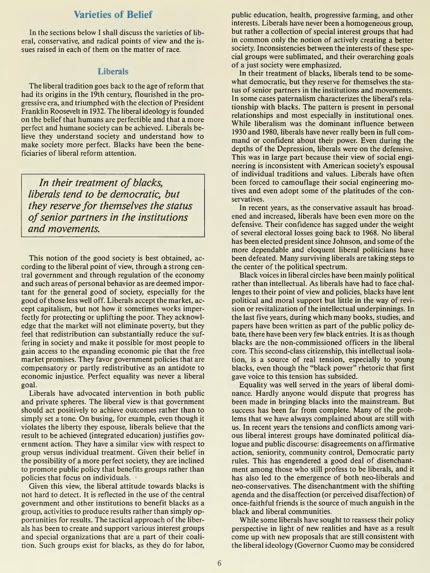#### Varieties of Belief

In the sections below <sup>I</sup> shall discuss the varieties of liberal, conservative, and radical points of view and the is sues raised in each of them on the matter of race.

#### Liberals

The liberal tradition goes back to the age of reform that had its origins in the 19th century, flourished in the progressive era, and triumphed with the election of President Franklin Roosevelt in 1932. The liberal ideology is founded on the belief that humans are perfectible and that a more perfect and humane society can be achieved. Liberals believe they understand society and understand how to make society more perfect. Blacks have been the beneficiaries of liberal reform attention.

In their treatment of blacks, liberals tend to be democratic, but they reserve for themselves the status of senior partners in the institutions and movements.

This notion of the good society is best obtained, ac cording to the liberal point of view, through a strong central government and through regulation of the economy and such areas of personal behavior as are deemed important for the general good of society, especially for the good of those less well off. Liberals accept the market, ac cept capitalism, but not how it sometimes works imperfectly for protecting or uplifting the poor. They acknowledge that the market will not eliminate poverty, but they feel that redistribution can substantially reduce the suffering in society and make it possible for most people to gain access to the expanding economic pie that the free market promises. They favor government policies that are compensatory or partly redistributive as an antidote to economic injustice. Perfect equality was never a liberal goal.

Liberals have advocated intervention in both public and private spheres. The liberal view is that government should act positively to achieve outcomes rather than to simply set a tone. On busing, for example, even though it violates the liberty they espouse, liberals believe that the result to be achieved (integrated education) justifies government action. They have a similar view with respect to group versus individual treatment. Given their belief in the possibility of a more perfect society, they are inclined to promote public policy that benefits groups rather than policies that focus on individuals.

Given this view, the liberal attitude towards blacks is not hard to detect. It is reflected in the use of the central government and other institutions to benefit blacks as a group, activities to produce results rather than simply opportunities for results. The tactical approach of the liberals has been to create and support various interest groups and special organizations that are a part of their coalition. Such groups exist for blacks, as they do for labor,

public education, health, progressive farming, and other interests. Liberals have never been a homogeneous group, but rather a collection of special interest groups that had in common only the notion of actively creating a better society. Inconsistencies between the interests of these special groups were sublimated, and their overarching goals of a just society were emphasized.

In their treatment of blacks, liberals tend to be somewhat democratic, but they reserve for themselves the sta tus of senior partners in the institutions and movements. In some cases paternalism characterizes the liberal's relationship with blacks. The pattern is present in personal relationships and most especially in institutional ones. While liberalism was the dominant influence between 1930 and 1980, liberals have never really been in full command or confident about their power. Even during the depths of the Depression, liberals were on the defensive. This was in large part because their view of social engineering is inconsistent with American society's espousal of individual traditions and values. Liberals have often been forced to camouflage their social engineering motives and even adopt some of the platitudes of the conservatives.

In recent years, as the conservative assault has broadened and increased, liberals have been even more on the defensive. Their confidence has sagged under the weight of several electoral losses going back to 1968. No liberal has been elected president since Johnson, and some of the more dependable and eloquent liberal politicians have been defeated. Many surviving liberals are taking steps to the center of the political spectrum.

Black voices in liberal circles have been mainly political rather than intellectual. As liberals have had to face challenges to their point of view and policies, blacks have lent political and moral support but little in the way of revision or revitalization of the intellectual underpinnings. In the last five years, during which many books, studies, and papers have been written as part of the public policy debate, there have been very few black entries. It is as though blacks are the non-commissioned officers in the liberal core. This second-class citizenship, this intellectual isolation, is a source of real tension, especially to young blacks, even though the "black power" rhetoric that first gave voice to this tension has subsided.

Equality was well served in the years of liberal dominance. Hardly anyone would dispute that progress has been made in bringing blacks into the mainstream. But success has been far from complete. Many of the problems that we have always complained about are still with us. In recent years the tensions and conflicts among various liberal interest groups have dominated political dialogue and public discourse: disagreements on affirmative action, seniority, community control, Democratic party rules. This has engendered a good deal of disenchantment among those who still profess to be liberals, and it has also led to the emergence of both neo-liberals and neo-conservatives. The disenchantment with the shifting agenda and the disaffection (or perceived disaffection) of once-faithful friends is the source of much anguish in the black and liberal communities.

While some liberals have sought to reassess their policy perspective in light of new realities and have as a result come up with new proposals that are still consistent with the liberal ideology (Governor Cuomo may be considered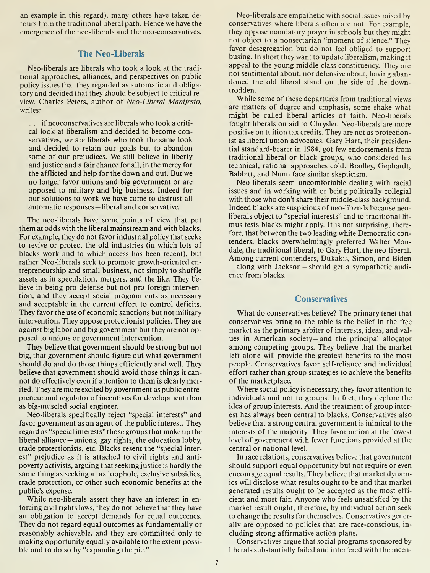an example in this regard), many others have taken detours from the traditional liberal path. Hence we have the emergence of the neo-liberals and the neo-conservatives.

#### The Neo-Liberals

Neo-liberals are liberals who took a look at the traditional approaches, alliances, and perspectives on public policy issues that they regarded as automatic and obligatory and decided that they should be subject to critical re view. Charles Peters, author of Neo-Liberal Manifesto, writes:

... if neoconservatives are liberals who took a critical look at liberalism and decided to become conservatives, we are liberals who took the same look and decided to retain our goals but to abandon some of our prejudices. We still believe in liberty and justice and a fair chance for all, in the mercy for the afflicted and help for the down and out. But we no longer favor unions and big government or are opposed to military and big business. Indeed for our solutions to work we have come to distrust all automatic responses — liberal and conservative.

The neo-liberals have some points of view that put them at odds with the liberal mainstream and with blacks. For example, they do not favor industrial policy that seeks to revive or protect the old industries (in which lots of blacks work and to which access has been recent), but rather Neo-liberals seek to promote growth-oriented en trepreneurship and small business, not simply to shuffle assets as in speculation, mergers, and the like. They believe in being pro-defense but not pro-foreign intervention, and they accept social program cuts as necessary and acceptable in the current effort to control deficits. They favor the use of economic sanctions but not military intervention. They oppose protectionist policies. They are against big labor and big government but they are not opposed to unions or government intervention.

They believe that government should be strong but not big, that government should figure out what government should do and do those things efficiently and well. They believe that government should avoid those things it can not do effectively even if attention to them is clearly merited. They are more excited by government as public entrepreneur and regulator of incentives for development than as big-muscled social engineer.

Neo-liberals specifically reject "special interests" and favor government as an agent of the public interest. They regard as "special interests" those groups that make up the liberal alliance — unions, gay rights, the education lobby, trade protectionists, etc. Blacks resent the "special interest" prejudice as it is attached to civil rights and antipoverty activists, arguing that seeking justice is hardly the same thing as seeking a tax loophole, exclusive subsidies, trade protection, or other such economic benefits at the public's expense.

While neo-liberals assert they have an interest in enforcing civil rights laws, they do not believe that they have an obligation to accept demands for equal outcomes. They do not regard equal outcomes as fundamentally or reasonably achievable, and they are committed only to making opportunity equally available to the extent possible and to do so by "expanding the pie."

Neo-liberals are empathetic with social issues raised by conservatives where liberals often are not. For example, they oppose mandatory prayer in schools but they might not object to a nonsectarian "moment of silence." They favor desegregation but do not feel obliged to support busing. In short they want to update liberalism, making itappeal to the young middle-class constituency. They are not sentimental about, nor defensive about, having abandoned the old liberal stand on the side of the downtrodden.

While some of these departures from traditional views are matters of degree and emphasis, some shake what might be called liberal articles of faith. Neo-liberals fought liberals on aid to Chrysler. Neo-liberals are more positive on tuition tax credits. They are not as protectionist as liberal union advocates. Gary Hart, their presidential standard-bearer in 1984, got few endorsements from traditional liberal or black groups, who considered his technical, rational approaches cold. Bradley, Gephardt, Babbitt, and Nunn face similar skepticism.

Neo-liberals seem uncomfortable dealing with racial issues and in working with or being politically collegial with those who don't share their middle-class background. Indeed blacks are suspicious of neo-liberals because neoliberals object to "special interests" and to traditional litmus tests blacks might apply. It is not surprising, therefore, that between the two leading white Democratic contenders, blacks overwhelmingly preferred Walter Mondale, the traditional liberal, to Gary Hart, the neo-liberal. Among current contenders, Dukakis, Simon, and Biden — along with Jackson — should get <sup>a</sup> sympathetic audience from blacks.

#### **Conservatives**

What do conservatives believe? The primary tenet that conservatives bring to the table is the belief in the free market as the primary arbiter of interests, ideas, and val ues in American society— and the principal allocator among competing groups. They believe that the market left alone will provide the greatest benefits to the most people. Conservatives favor self-reliance and individual effort rather than group strategies to achieve the benefits of the marketplace.

Where social policy is necessary, they favor attention to individuals and not to groups. In fact, they deplore the idea of group interests. And the treatment of group interest has always been central to blacks. Conservatives also believe that a strong central government is inimical to the interests of the majority. They favor action at the lowest level of government with fewer functions provided at the central or national level.

In race relations, conservatives believe that government should support equal opportunity but not require or even encourage equal results. They believe that market dynamics will disclose what results ought to be and that market generated results ought to be accepted as the most efficient and most fair. Anyone who feels unsatisfied by the market result ought, therefore, by individual action seek to change the results for themselves. Conservatives generally are opposed to policies that are race-conscious, including strong affirmative action plans.

Conservatives argue that social programs sponsored by liberals substantially failed and interfered with the incen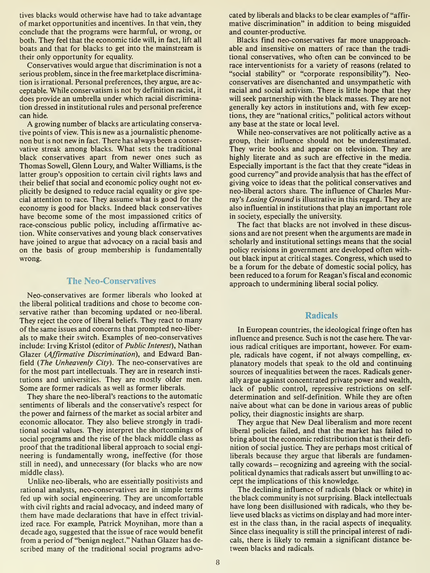tives blacks would otherwise have had to take advantage of market opportunities and incentives. In that vein, they conclude that the programs were harmful, or wrong, or both. They feel that the economic tide will, in fact, lift all boats and that for blacks to get into the mainstream is their only opportunity for equality.

Conservatives would argue that discrimination is not a serious problem, since in the free marketplace discrimination is irrational. Personal preferences, they argue, are acceptable. While conservatism is not by definition racist, it does provide an umbrella under which racial discrimination dressed in institutional rules and personal preference can hide.

A growing number of blacks are articulating conservative points of view. This is new as a journalistic phenomenon but is not new in fact. There has always been a conservative streak among blacks. What sets the traditional black conservatives apart from newer ones such as Thomas Sowell, Glenn Loury, and Walter Williams, is the latter group's opposition to certain civil rights laws and their belief that social and economic policy ought not explicitly be designed to reduce racial equality or give special attention to race. They assume what is good for the economy is good for blacks. Indeed black conservatives have become some of the most impassioned critics of race-conscious public policy, including affirmative action. White conservatives and young black conservatives have joined to argue that advocacy on a racial basis and on the basis of group membership is fundamentally wrong.

#### The Neo-Conservatives

Neo-conservatives are former liberals who looked at the liberal political traditions and chose to become conservative rather than becoming updated or neo-liberal. They reject the core of liberal beliefs. They react to many of the same issues and concerns that prompted neo-liberals to make their switch. Examples of neo-conservatives include: Irving Kristol (editor of Public Interest), Nathan Glazer (*Affirmative Discrimination*), and Edward Banfield (The Unheavenly City). The neo-conservatives are for the most part intellectuals. They are in research institutions and universities. They are mostly older men. Some are former radicals as well as former liberals.

They share the neo-liberal's reactions to the automatic sentiments of liberals and the conservative's respect for the power and fairness of the market as social arbiter and economic allocator. They also believe strongly in traditional social values. They interpret the shortcomings of social programs and the rise of the black middle class as proof that the traditional liberal approach to social engineering is fundamentally wrong, ineffective (for those still in need), and unnecessary (for blacks who are now middle class).

Unlike neo-liberals, who are essentially positivists and rational analysts, neo-conservatives are in simple terms fed up with social engineering. They are uncomfortable with civil rights and racial advocacy, and indeed many of them have made declarations that have in effect trivialized race. For example, Patrick Moynihan, more than a decade ago, suggested that the issue of race would benefit from a period of "benign neglect." Nathan Glazer has described many of the traditional social programs advo-

cated by liberals and blacks to be clear examples of "affirmative discrimination" in addition to being misguided and counter-productive.

Blacks find neo-conservatives far more unapproachable and insensitive on matters of race than the traditional conservatives, who often can be convinced to be race interventionists for a variety of reasons (related to "social stability" or "corporate responsibility"). Neoconservatives are disenchanted and unsympathetic with racial and social activism. There is little hope that they will seek partnership with the black masses. They are not generally key actors in institutions and, with few exceptions, they are "national critics," political actors without any base at the state or local level.

While neo-conservatives are not politically active as a group, their influence should not be underestimated. They write books and appear on television. They are highly literate and as such are effective in the media. Especially important is the fact that they create "ideas in good currency" and provide analysis that has the effect of giving voice to ideas that the political conservatives and neo-liberal actors share. The influence of Charles Murray's Losing Ground is illustrative in this regard. They are also influential in institutions that play an important role in society, especially the university.

The fact that blacks are not involved in these discussions and are not present when the arguments are made in scholarly and institutional settings means that the social policy revisions in government are developed often without black input at critical stages. Congress, which used to be a forum for the debate of domestic social policy, has been reduced to a forum for Reagan's fiscal and economic approach to undermining liberal social policy.

#### **Radicals**

In European countries, the ideological fringe often has influence and presence. Such is not the case here. The var ious radical critiques are important, however. For example, radicals have cogent, if not always compelling, ex planatory models that speak to the old and continuing sources of inequalities between the races. Radicals generally argue against concentrated private power and wealth, lack of public control, repressive restrictions on selfdetermination and self-definition. While they are often naive about what can be done in various areas of public policy, their diagnostic insights are sharp.

They argue that New Deal liberalism and more recent liberal policies failed, and that the market has failed to bring about the economic redistribution that is their definition of social justice. They are perhaps most critical of liberals because they argue that liberals are fundamentally cowards — recognizing and agreeing with the socialpolitical dynamics that radicals assert but unwilling to ac cept the implications of this knowledge.

The declining influence of radicals (black or white) in the black community isnot surprising. Black intellectuals have long been disillusioned with radicals, who they believe used blacks as victims on display and had more interest in the class than, in the racial aspects of inequality. Since class inequality is still the principal interest of radicals, there is likely to remain a significant distance between blacks and radicals.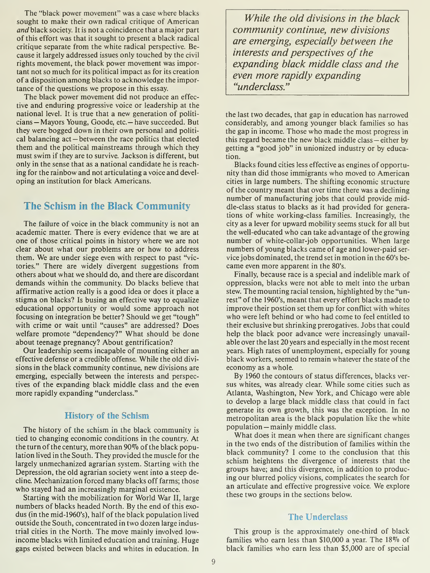The "black power movement" was a case where blacks sought to make their own radical critique of American and black society. It is not a coincidence that a major part of this effort was that it sought to present a black radical critique separate from the white radical perspective. Be cause it largely addressed issues only touched by the civil rights movement, the black power movement was important not so much for its political impact as for its creation of a disposition among blacks to acknowledge the importance of the questions we propose in this essay.

The black power movement did not produce an effective and enduring progressive voice or leadership at the national level. It is true that a new generation of politicians—Mayors Young, Goode, etc.— have succeeded. But they were bogged down in their own personal and political balancing act — between the race politics that elected them and the political mainstreams through which they must swim if they are to survive. Jackson is different, but only in the sense that as a national candidate he is reaching for the rainbow and not articulating a voice and developing an institution for black Americans.

# The Schism in the Black Community

The failure of voice in the black community is not an academic matter. There is every evidence that we are at one of those critical points in history where we are not clear about what our problems are or how to address them. We are under siege even with respect to past "victories." There are widely divergent suggestions from others about what we should do, and there are discordant demands within the community. Do blacks believe that affirmative action really is a good idea or does it place a stigma on blacks? Is busing an effective way to equalize educational opportunity or would some approach not focusing on integration be better? Should we get "tough" with crime or wait until "causes" are addressed? Does welfare promote "dependency?" What should be done about teenage pregnancy? About gentrification?

Our leadership seems incapable of mounting either an effective defense or a credible offense. While the old divisions in the black community continue, new divisions are emerging, especially between the interests and perspectives of the expanding black middle class and the even more rapidly expanding "underclass."

#### History of the Schism

The history of the schism in the black community is tied to changing economic conditions in the country. At the turn of the century, more than 90% of the black population lived in the South. They provided the muscle for the largely unmechanized agrarian system. Starting with the Depression, the old agrarian society went into a steep decline. Mechanization forced many blacks off farms; those who stayed had an increasingly marginal existence.

Starting with the mobilization for World War II, large numbers of blacks headed North. By the end of this exo dus (in the mid-1960's), half of the black population lived outside the South, concentrated in two dozen large industrial cities in the North. The move mainly involved lowincome blacks with limited education and training. Huge gaps existed between blacks and whites in education. In

While the old divisions in the black community continue, new divisions are emerging, especially between the interests and perspectives of the expanding black middle class and the even more rapidly expanding "underclass."

the last two decades, that gap in education has narrowed considerably, and among younger black families so has the gap in income. Those who made the most progress in this regard became the new black middle class — either by getting a "good job" in unionized industry or by education.

Blacks found cities less effective as engines of opportunity than did those immigrants who moved to American cities in large numbers. The shifting economic structure of the country meant that over time there was a declining number of manufacturing jobs that could provide middle-class status to blacks as it had provided for generations of white working-class families. Increasingly, the city as a lever for upward mobility seems stuck for all but the well-educated who can take advantage of the growing number of white-collar-job opportunities. When large numbers of young blacks came of age and lower-paid ser vice jobs dominated, the trend set in motion in the 60's became even more apparent in the 80's.

Finally, because race is a special and indelible mark of oppression, blacks were not able to melt into the urban stew. The mounting racial tension, highlighted by the "unrest" of the 1960's, meant that every effort blacks made to improve their postion set them up for conflict with whites who were left behind or who had come to feel entitled to their exclusive but shrinking prerogatives. Jobs that could help the black poor advance were increasingly unavailable over the last 20 years and especially in the most recent years. High rates of unemployment, especially for young black workers, seemed to remain whatever the state of the economy as a whole.

By 1960 the contours of status differences, blacks ver sus whites, was already clear. While some cities such as Atlanta, Washington, New York, and Chicago were able to develop a large black middle class that could in fact generate its own growth, this was the exception. In no metropolitan area is the black population like the white population — mainly middle class.

What does it mean when there are significant changes in the two ends of the distribution of families within the black community? <sup>I</sup> come to the conclusion that this schism heightens the divergence of interests that the groups have; and this divergence, in addition to producing our blurred policy visions, complicates the search for an articulate and effective progressive voice. We explore these two groups in the sections below.

#### The Underclass

This group is the approximately one-third of black families who earn less than \$10,000 a year. The 18% of black families who earn less than \$5,000 are of special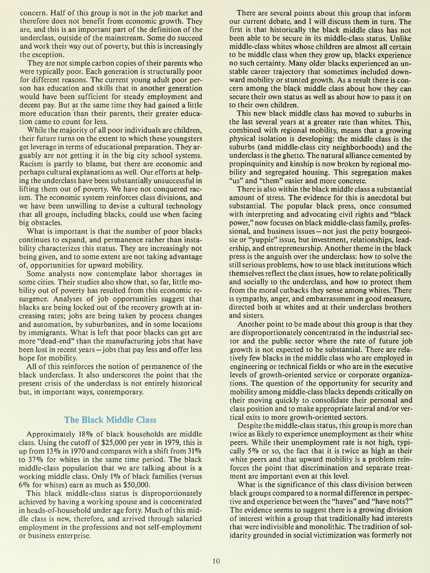concern. Half of this group is not in the job market and therefore does not benefit from economic growth. They are, and this is an important part of the definition of the underclass, outside of the mainstream. Some do succeed and work their way out of poverty, but this is increasingly the exception.

They are not simple carbon copies of their parents who were typically poor. Each generation is structurally poor for different reasons. The current young adult poor person has education and skills that in another generation would have been sufficient for steady employment and decent pay. But at the same time they had gained a little more education than their parents, their greater education came to count for less.

While the majority of all poor individuals are children, their future turns on the extent to which these youngsters get leverage in terms of educational preparation. They ar guably are not getting it in the big city school systems. Racism is partly to blame, but there are economic and perhaps cultural explanations as well. Our efforts at helping the underclass have been substantially unsuccessful in lifting them out of poverty. We have not conquered rac ism. The economic system reinforces class divisions, and we have been unwilling to devise a cultural technology that all groups, including blacks, could use when facing big obstacles.

What is important is that the number of poor blacks continues to expand, and permanence rather than instability characterizes this status. They are increasingly not being given, and to some extent are not taking advantage of, opportunities for upward mobility.

Some analysts now contemplate labor shortages in some cities. Their studies also show that, so far, little mobility out of poverty has resulted from this economic re surgence. Analyses of job opportunities suggest that blacks are being locked out of the recovery growth at increasing rates; jobs are being taken by process changes and automation, by suburbanites, and in some locations by immigrants. What is left that poor blacks can get are more "dead-end" than the manufacturing jobs that have been lost in recent years— jobs that pay less and offer less hope for mobility.

All of this reinforces the notion of permanence of the black underclass. It also underscores the point that the present crisis of the underclass is not entirely historical but, in important ways, contemporary.

#### The Black Middle Class

Approximately 18% of black households are middle class. Using the cutoff of \$25,000 per year in 1979, this is up from 13% in 1970 and compares with a shift from 31% to 37% for whites in the same time period. The black middle-class population that we are talking about is a working middle class. Only 1% of black families (versus 6% for whites) earn as much as \$50,000.

This black middle-class status is disproportionately achieved by having a working spouse and is concentrated in heads-of-household under age forty. Much of this middle class is new, therefore, and arrived through salaried employment in the professions and not self-employment or business enterprise.

There are several points about this group that inform our current debate, and I will discuss them in turn. The first is that historically the black middle class has not been able to be secure in its middle-class status. Unlike middle-class whites whose children are almost all certain to be middle class when they grow up, blacks experience no such certainty. Many older blacks experienced an unstable career trajectory that sometimes included downward mobility or stunted growth. As a result there is concern among the black middle class about how they can secure their own status as well as about how to pass it on to their own children.

This new black middle class has moved to suburbs in the last several years at a greater rate than whites. This, combined with regional mobility, means that a growing physical isolation is developing: the middle class is the suburbs (and middle-class city neighborhoods) and the underclass is the ghetto. The natural alliance cemented by propinquinity and kinship is now broken by regional mobility and segregated housing. This segregation makes "us" and "them" easier and more concrete.

There is also within the black middle class a substantial amount of stress. The evidence for this is anecdotal but substantial. The popular black press, once consumed with interpreting and advocating civil rights and "black" power," now focuses on black middle-class family, professional, and business issues — not just the petty bourgeoisie or "yuppie" issue, but investment, relationships, leadership, and entrepreneurship. Another theme in the black press is the anguish over the underclass: how to solve the still serious problems, how to use black institutions which themselves reflect the class issues, how to relate politically and socially to the underclass, and how to protect them from the moral cutbacks they sense among whites. There is sympathy, anger, and embarrassment in good measure, directed both at whites and at their underclass brothers and sisters.

Another point to be made about this group is that they are disproportionately concentrated in the industrial sec tor and the public sector where the rate of future job growth is not expected to be substantial. There are relatively few blacks in the middle class who are employed in engineering or technical fields or who are in the executive levels of growth-oriented service or corporate organizations. The question of the opportunity for security and mobility among middle-class blacks depends critically on their moving quickly to consolidate their personal and class position and to make appropriate lateral and/or vertical exits to more growth-oriented sectors.

Despite the middle-class status, this group is more than twice as likely to experience unemployment as their white peers. While their unemployment rate is not high, typically 5% or so, the fact that it is twice as high as their white peers and that upward mobility is a problem reinforces the point that discrimination and separate treatment are important even at this level.

What is the significance of this class division between black groups compared to a normal difference in perspective and experience between the "haves" and "have nots?" The evidence seems to suggest there is a growing division of interest within a group that traditionally had interests that were indivisible and monolithic. The tradition of solidarity grounded in social victimization was formerly not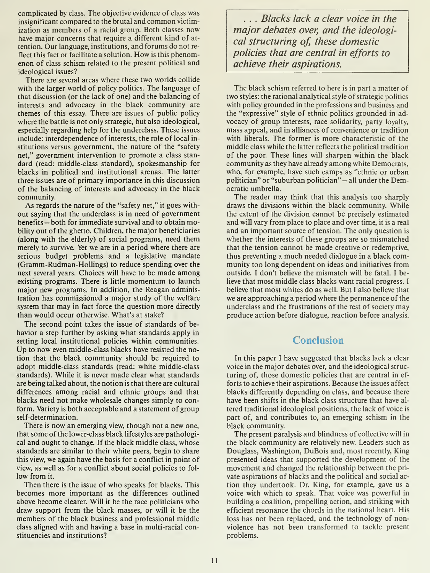complicated by class. The objective evidence of class was insignificant compared to the brutal and common victimization as members of a racial group. Both classes now have major concerns that require a different kind of attention. Our language, institutions, and forums do not reflect this fact or facilitate <sup>a</sup> solution. How is this phenomenon of class schism related to the present political and ideological issues?

There are several areas where these two worlds collide with the larger world of policy politics. The language of that discussion (or the lack of one) and the balancing of interests and advocacy in the black community are themes of this essay. There are issues of public policy where the battle is not only strategic, but also ideological, especially regarding help for the underclass. These issues include: interdependence of interests, the role of local institutions versus government, the nature of the "safety net," government intervention to promote a class standard (read: middle-class standard), spokesmanship for blacks in political and institutional arenas. The latter three issues are of primary importance in this discussion of the balancing of interests and advocacy in the black community.

As regards the nature of the "safety net," it goes without saying that the underclass is in need of government benefits — both for immediate survival and to obtain mobility out of the ghetto. Children, the major beneficiaries (along with the elderly) of social programs, need them merely to survive. Yet we are in a period where there are serious budget problems and a legislative mandate (Gramm-Rudman-Hollings) to reduce spending over the next several years. Choices will have to be made among existing programs. There is little momentum to launch major new programs. In addition, the Reagan administration has commissioned a major study of the welfare system that may in fact force the question more directly than would occur otherwise. What's at stake?

The second point takes the issue of standards of behavior a step further by asking what standards apply in setting local institutional policies within communities. Up to now even middle-class blacks have resisted the notion that the black community should be required to adopt middle-class standards (read: white middle-class standards). While it is never made clear what standards are being talked about, the notion is that there are cultural differences among racial and ethnic groups and that blacks need not make wholesale changes simply to conform. Variety is both acceptable and a statement of group self-determination.

There is now an emerging view, though not a new one, that some of the lower-class black lifestyles are pathological and ought to change. If the black middle class, whose standards are similar to their white peers, begin to share this view, we again have the basis for a conflict in point of view, as well as for a conflict about social policies to follow from it.

Then there is the issue of who speaks for blacks. This becomes more important as the differences outlined above become clearer. Will it be the race politicians who draw support from the black masses, or will it be the members of the black business and professional middle class aligned with and having a base in multi-racial constituencies and institutions?

. . . Blacks lack a clear voice in the major debates over, and the ideological structuring of, these domestic policies that are central in efforts to achieve their aspirations.

The black schism referred to here is in part a matter of two styles: the rational analytical style of strategic politics with policy grounded in the professions and business and the "expressive" style of ethnic politics grounded in advocacy of group interests, race solidarity, party loyalty, mass appeal, and in alliances of convenience or tradition with liberals. The former is more characteristic of the middle class while the latter reflects the political tradition of the poor. These lines will sharpen within the black community as they have already among white Democrats, who, for example, have such camps as "ethnic or urban politician" or "suburban politician" — all under the Democratic umbrella.

The reader may think that this analysis too sharply draws the divisions within the black community. While the extent of the division cannot be precisely estimated and will vary from place to place and over time, it is a real and an important source of tension. The only question is whether the interests of these groups are so mismatched that the tension cannot be made creative or redemptive, thus preventing a much needed dialogue in a black community too long dependent on ideas and initiatives from outside. <sup>I</sup> don't believe the mismatch will be fatal. <sup>I</sup> believe that most middle class blacks want racial progress. <sup>I</sup> believe that most whites do as well. But <sup>I</sup> also believe that we are approaching a period where the permanence of the underclass and the frustrations of the rest of society may produce action before dialogue, reaction before analysis.

# Conclusion

In this paper <sup>I</sup> have suggested that blacks lack a clear voice in the major debates over, and the ideological structuring of, those domestic policies that are central in efforts to achieve their aspirations. Because the issues affect blacks differently depending on class, and because there have been shifts in the black class structure that have altered traditional ideological positions, the lack of voice is part of, and contributes to, an emerging schism in the black community.

The present paralysis and blindness of collective will in the black community are relatively new. Leaders such as Douglass, Washington, DuBois and, most recently, King presented ideas that supported the development of the movement and changed the relationship between the private aspirations of blacks and the political and social ac tion they undertook. Dr. King, for example, gave us a voice with which to speak. That voice was powerful in building a coalition, propelling action, and striking with efficient resonance the chords in the national heart. His loss has not been replaced, and the technology of nonviolence has not been transformed to tackle present problems.